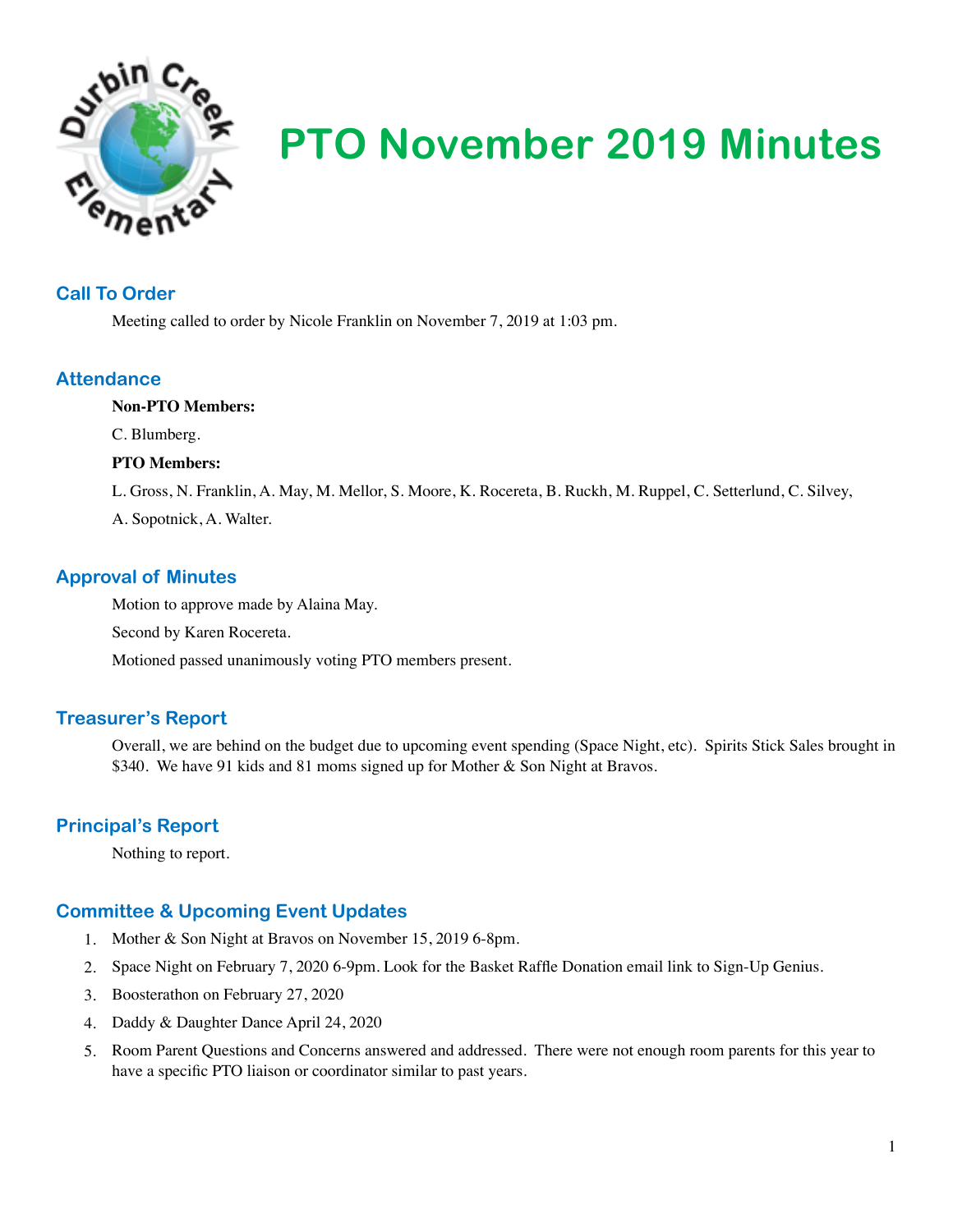

# **PTO November 2019 Minutes**

#### **Call To Order**

Meeting called to order by Nicole Franklin on November 7, 2019 at 1:03 pm.

#### **Attendance**

#### **Non-PTO Members:**

C. Blumberg.

#### **PTO Members:**

L. Gross, N. Franklin, A. May, M. Mellor, S. Moore, K. Rocereta, B. Ruckh, M. Ruppel, C. Setterlund, C. Silvey,

A. Sopotnick, A. Walter.

## **Approval of Minutes**

Motion to approve made by Alaina May.

Second by Karen Rocereta.

Motioned passed unanimously voting PTO members present.

## **Treasurer's Report**

Overall, we are behind on the budget due to upcoming event spending (Space Night, etc). Spirits Stick Sales brought in \$340. We have 91 kids and 81 moms signed up for Mother & Son Night at Bravos.

## **Principal's Report**

Nothing to report.

# **Committee & Upcoming Event Updates**

- 1. Mother & Son Night at Bravos on November 15, 2019 6-8pm.
- 2. Space Night on February 7, 2020 6-9pm. Look for the Basket Raffle Donation email link to Sign-Up Genius.
- 3. Boosterathon on February 27, 2020
- 4. Daddy & Daughter Dance April 24, 2020
- 5. Room Parent Questions and Concerns answered and addressed. There were not enough room parents for this year to have a specific PTO liaison or coordinator similar to past years.